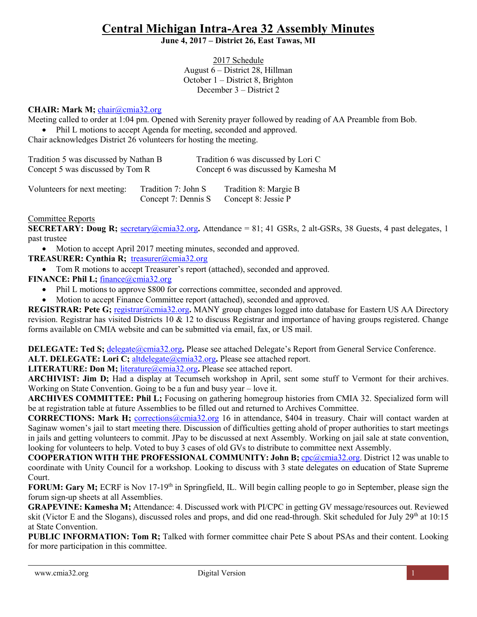# **Central Michigan Intra-Area 32 Assembly Minutes**

#### **June 4, 2017 – District 26, East Tawas, MI**

2017 Schedule August 6 – District 28, Hillman October 1 – District 8, Brighton December 3 – District 2

## **CHAIR: Mark M;** [chair@cmia32.org](mailto:chair@cmia32.org)

Meeting called to order at 1:04 pm. Opened with Serenity prayer followed by reading of AA Preamble from Bob.

• Phil L motions to accept Agenda for meeting, seconded and approved.

Chair acknowledges District 26 volunteers for hosting the meeting.

| Tradition 5 was discussed by Nathan B |                                            | Tradition 6 was discussed by Lori C          |
|---------------------------------------|--------------------------------------------|----------------------------------------------|
| Concept 5 was discussed by Tom R      |                                            | Concept 6 was discussed by Kamesha M         |
| Volunteers for next meeting:          | Tradition 7: John S<br>Concept 7: Dennis S | Tradition 8: Margie B<br>Concept 8: Jessie P |

#### Committee Reports

**SECRETARY: Doug R;** [secretary@cmia32.org](mailto:secretary@cmia32.org)**.** Attendance = 81; 41 GSRs, 2 alt-GSRs, 38 Guests, 4 past delegates, 1 past trustee

Motion to accept April 2017 meeting minutes, seconded and approved.

## **TREASURER: Cynthia R;** [treasurer@cmia32.org](mailto:treasurer@cmia32.org)

- Tom R motions to accept Treasurer's report (attached), seconded and approved.
- **FINANCE: Phil L;** [finance@cmia32.org](mailto:finance@cmia32.org)
	- Phil L motions to approve \$800 for corrections committee, seconded and approved.
	- Motion to accept Finance Committee report (attached), seconded and approved.

**REGISTRAR: Pete G;** [registrar@cmia32.org](mailto:registrar@cmia32.org)**.** MANY group changes logged into database for Eastern US AA Directory revision. Registrar has visited Districts 10  $\&$  12 to discuss Registrar and importance of having groups registered. Change forms available on CMIA website and can be submitted via email, fax, or US mail.

**DELEGATE: Ted S:** [delegate@cmia32.org](mailto:delegate@cmia32.org). Please see attached Delegate's Report from General Service Conference. **ALT. DELEGATE: Lori C: [altdelegate@cmia32.org](mailto:altdelegate@cmia32.org). Please see attached report.** 

LITERATURE: Don M; *[literature@cmia32.org](mailto:literature@cmia32.org)*. Please see attached report.

**ARCHIVIST: Jim D;** Had a display at Tecumseh workshop in April, sent some stuff to Vermont for their archives. Working on State Convention. Going to be a fun and busy year – love it.

**ARCHIVES COMMITTEE: Phil L;** Focusing on gathering homegroup histories from CMIA 32. Specialized form will be at registration table at future Assemblies to be filled out and returned to Archives Committee.

**CORRECTIONS: Mark H;** [corrections@cmia32.org](mailto:corrections@cmia32.org) 16 in attendance, \$404 in treasury. Chair will contact warden at Saginaw women's jail to start meeting there. Discussion of difficulties getting ahold of proper authorities to start meetings in jails and getting volunteers to commit. JPay to be discussed at next Assembly. Working on jail sale at state convention, looking for volunteers to help. Voted to buy 3 cases of old GVs to distribute to committee next Assembly.

**COOPERATION WITH THE PROFESSIONAL COMMUNITY: John B;** [cpc@cmia32.org.](mailto:cpc@cmia32.org) District 12 was unable to coordinate with Unity Council for a workshop. Looking to discuss with 3 state delegates on education of State Supreme Court.

**FORUM: Gary M;** ECRF is Nov 17-19<sup>th</sup> in Springfield, IL. Will begin calling people to go in September, please sign the forum sign-up sheets at all Assemblies.

**GRAPEVINE: Kamesha M;** Attendance: 4. Discussed work with PI/CPC in getting GV message/resources out. Reviewed skit (Victor E and the Slogans), discussed roles and props, and did one read-through. Skit scheduled for July 29<sup>th</sup> at 10:15 at State Convention.

**PUBLIC INFORMATION: Tom R;** Talked with former committee chair Pete S about PSAs and their content. Looking for more participation in this committee.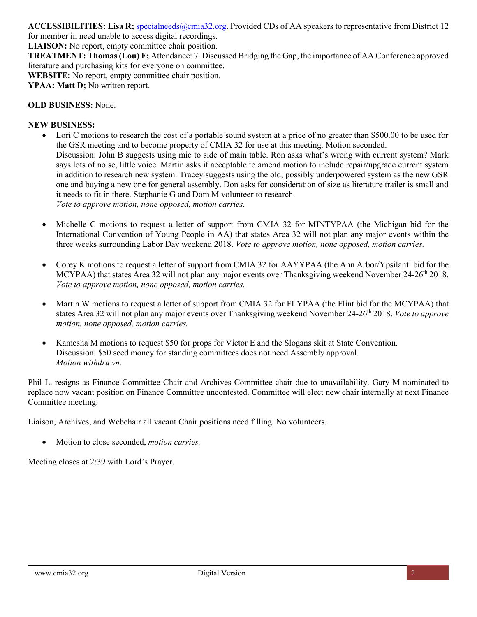## **ACCESSIBILITIES: Lisa R;** [specialneeds@cmia32.org](mailto:specialneeds@cmia32.org)**.** Provided CDs of AA speakers to representative from District 12

for member in need unable to access digital recordings. **LIAISON:** No report, empty committee chair position.

**TREATMENT: Thomas (Lou) F;** Attendance: 7. Discussed Bridging the Gap, the importance of AA Conference approved literature and purchasing kits for everyone on committee.

**WEBSITE:** No report, empty committee chair position.

**YPAA: Matt D;** No written report.

### **OLD BUSINESS:** None.

#### **NEW BUSINESS:**

- Lori C motions to research the cost of a portable sound system at a price of no greater than \$500.00 to be used for the GSR meeting and to become property of CMIA 32 for use at this meeting. Motion seconded. Discussion: John B suggests using mic to side of main table. Ron asks what's wrong with current system? Mark says lots of noise, little voice. Martin asks if acceptable to amend motion to include repair/upgrade current system in addition to research new system. Tracey suggests using the old, possibly underpowered system as the new GSR one and buying a new one for general assembly. Don asks for consideration of size as literature trailer is small and it needs to fit in there. Stephanie G and Dom M volunteer to research. *Vote to approve motion, none opposed, motion carries.*
- Michelle C motions to request a letter of support from CMIA 32 for MINTYPAA (the Michigan bid for the International Convention of Young People in AA) that states Area 32 will not plan any major events within the three weeks surrounding Labor Day weekend 2018. *Vote to approve motion, none opposed, motion carries.*
- Corey K motions to request a letter of support from CMIA 32 for AAYYPAA (the Ann Arbor/Ypsilanti bid for the MCYPAA) that states Area 32 will not plan any major events over Thanksgiving weekend November 24-26th 2018. *Vote to approve motion, none opposed, motion carries.*
- Martin W motions to request a letter of support from CMIA 32 for FLYPAA (the Flint bid for the MCYPAA) that states Area 32 will not plan any major events over Thanksgiving weekend November 24-26th 2018. *Vote to approve motion, none opposed, motion carries.*
- Kamesha M motions to request \$50 for props for Victor E and the Slogans skit at State Convention. Discussion: \$50 seed money for standing committees does not need Assembly approval. *Motion withdrawn.*

Phil L. resigns as Finance Committee Chair and Archives Committee chair due to unavailability. Gary M nominated to replace now vacant position on Finance Committee uncontested. Committee will elect new chair internally at next Finance Committee meeting.

Liaison, Archives, and Webchair all vacant Chair positions need filling. No volunteers.

• Motion to close seconded, *motion carries.*

Meeting closes at 2:39 with Lord's Prayer.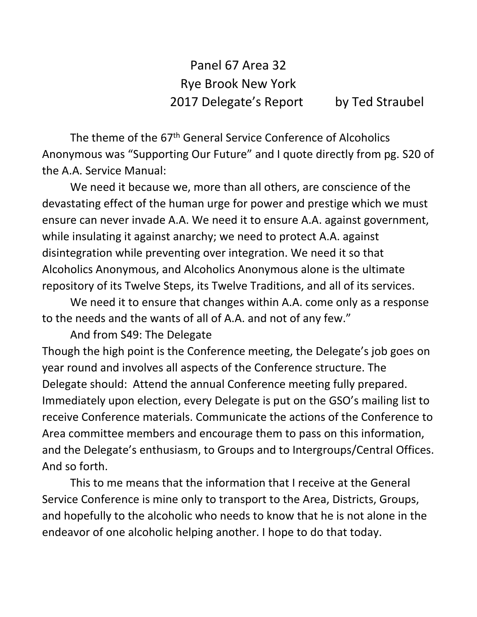Panel 67 Area 32 Rye Brook New York 2017 Delegate's Report by Ted Straubel

The theme of the 67th General Service Conference of Alcoholics Anonymous was "Supporting Our Future" and I quote directly from pg. S20 of the A.A. Service Manual:

We need it because we, more than all others, are conscience of the devastating effect of the human urge for power and prestige which we must ensure can never invade A.A. We need it to ensure A.A. against government, while insulating it against anarchy; we need to protect A.A. against disintegration while preventing over integration. We need it so that Alcoholics Anonymous, and Alcoholics Anonymous alone is the ultimate repository of its Twelve Steps, its Twelve Traditions, and all of its services.

We need it to ensure that changes within A.A. come only as a response to the needs and the wants of all of A.A. and not of any few."

And from S49: The Delegate

Though the high point is the Conference meeting, the Delegate's job goes on year round and involves all aspects of the Conference structure. The Delegate should: Attend the annual Conference meeting fully prepared. Immediately upon election, every Delegate is put on the GSO's mailing list to receive Conference materials. Communicate the actions of the Conference to Area committee members and encourage them to pass on this information, and the Delegate's enthusiasm, to Groups and to Intergroups/Central Offices. And so forth.

This to me means that the information that I receive at the General Service Conference is mine only to transport to the Area, Districts, Groups, and hopefully to the alcoholic who needs to know that he is not alone in the endeavor of one alcoholic helping another. I hope to do that today.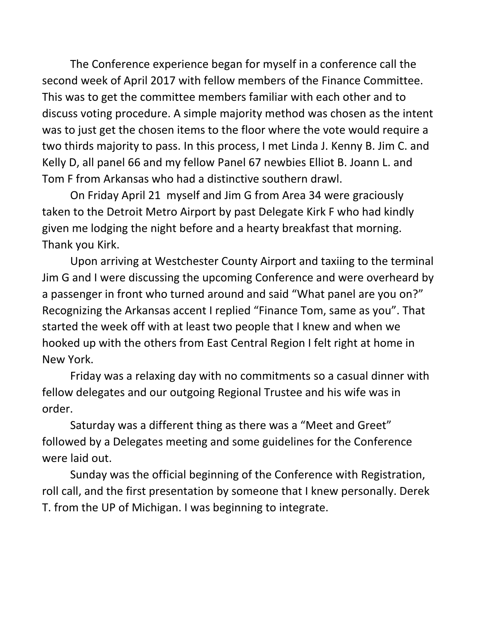The Conference experience began for myself in a conference call the second week of April 2017 with fellow members of the Finance Committee. This was to get the committee members familiar with each other and to discuss voting procedure. A simple majority method was chosen as the intent was to just get the chosen items to the floor where the vote would require a two thirds majority to pass. In this process, I met Linda J. Kenny B. Jim C. and Kelly D, all panel 66 and my fellow Panel 67 newbies Elliot B. Joann L. and Tom F from Arkansas who had a distinctive southern drawl.

On Friday April 21 myself and Jim G from Area 34 were graciously taken to the Detroit Metro Airport by past Delegate Kirk F who had kindly given me lodging the night before and a hearty breakfast that morning. Thank you Kirk.

Upon arriving at Westchester County Airport and taxiing to the terminal Jim G and I were discussing the upcoming Conference and were overheard by a passenger in front who turned around and said "What panel are you on?" Recognizing the Arkansas accent I replied "Finance Tom, same as you". That started the week off with at least two people that I knew and when we hooked up with the others from East Central Region I felt right at home in New York.

Friday was a relaxing day with no commitments so a casual dinner with fellow delegates and our outgoing Regional Trustee and his wife was in order.

Saturday was a different thing as there was a "Meet and Greet" followed by a Delegates meeting and some guidelines for the Conference were laid out.

Sunday was the official beginning of the Conference with Registration, roll call, and the first presentation by someone that I knew personally. Derek T. from the UP of Michigan. I was beginning to integrate.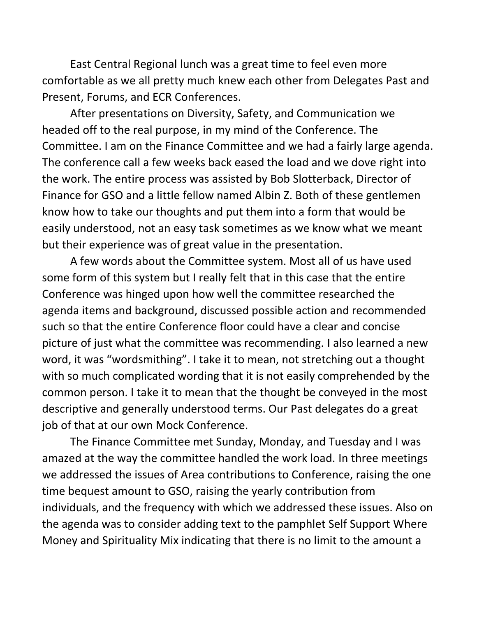East Central Regional lunch was a great time to feel even more comfortable as we all pretty much knew each other from Delegates Past and Present, Forums, and ECR Conferences.

After presentations on Diversity, Safety, and Communication we headed off to the real purpose, in my mind of the Conference. The Committee. I am on the Finance Committee and we had a fairly large agenda. The conference call a few weeks back eased the load and we dove right into the work. The entire process was assisted by Bob Slotterback, Director of Finance for GSO and a little fellow named Albin Z. Both of these gentlemen know how to take our thoughts and put them into a form that would be easily understood, not an easy task sometimes as we know what we meant but their experience was of great value in the presentation.

A few words about the Committee system. Most all of us have used some form of this system but I really felt that in this case that the entire Conference was hinged upon how well the committee researched the agenda items and background, discussed possible action and recommended such so that the entire Conference floor could have a clear and concise picture of just what the committee was recommending. I also learned a new word, it was "wordsmithing". I take it to mean, not stretching out a thought with so much complicated wording that it is not easily comprehended by the common person. I take it to mean that the thought be conveyed in the most descriptive and generally understood terms. Our Past delegates do a great job of that at our own Mock Conference.

The Finance Committee met Sunday, Monday, and Tuesday and I was amazed at the way the committee handled the work load. In three meetings we addressed the issues of Area contributions to Conference, raising the one time bequest amount to GSO, raising the yearly contribution from individuals, and the frequency with which we addressed these issues. Also on the agenda was to consider adding text to the pamphlet Self Support Where Money and Spirituality Mix indicating that there is no limit to the amount a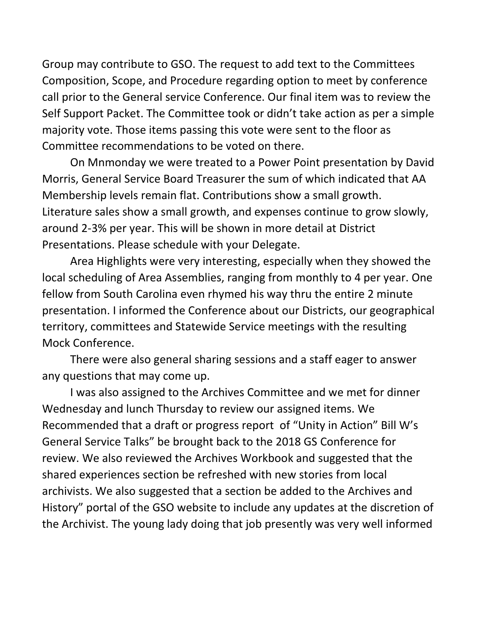Group may contribute to GSO. The request to add text to the Committees Composition, Scope, and Procedure regarding option to meet by conference call prior to the General service Conference. Our final item was to review the Self Support Packet. The Committee took or didn't take action as per a simple majority vote. Those items passing this vote were sent to the floor as Committee recommendations to be voted on there.

On Mnmonday we were treated to a Power Point presentation by David Morris, General Service Board Treasurer the sum of which indicated that AA Membership levels remain flat. Contributions show a small growth. Literature sales show a small growth, and expenses continue to grow slowly, around 2-3% per year. This will be shown in more detail at District Presentations. Please schedule with your Delegate.

Area Highlights were very interesting, especially when they showed the local scheduling of Area Assemblies, ranging from monthly to 4 per year. One fellow from South Carolina even rhymed his way thru the entire 2 minute presentation. I informed the Conference about our Districts, our geographical territory, committees and Statewide Service meetings with the resulting Mock Conference.

There were also general sharing sessions and a staff eager to answer any questions that may come up.

I was also assigned to the Archives Committee and we met for dinner Wednesday and lunch Thursday to review our assigned items. We Recommended that a draft or progress report of "Unity in Action" Bill W's General Service Talks" be brought back to the 2018 GS Conference for review. We also reviewed the Archives Workbook and suggested that the shared experiences section be refreshed with new stories from local archivists. We also suggested that a section be added to the Archives and History" portal of the GSO website to include any updates at the discretion of the Archivist. The young lady doing that job presently was very well informed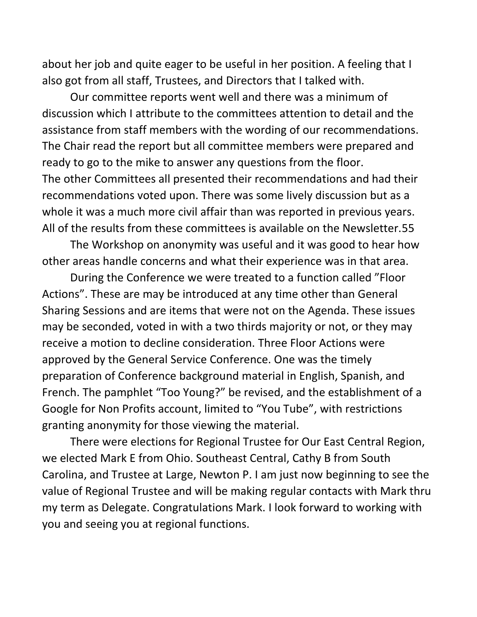about her job and quite eager to be useful in her position. A feeling that I also got from all staff, Trustees, and Directors that I talked with.

Our committee reports went well and there was a minimum of discussion which I attribute to the committees attention to detail and the assistance from staff members with the wording of our recommendations. The Chair read the report but all committee members were prepared and ready to go to the mike to answer any questions from the floor. The other Committees all presented their recommendations and had their recommendations voted upon. There was some lively discussion but as a whole it was a much more civil affair than was reported in previous years. All of the results from these committees is available on the Newsletter.55

The Workshop on anonymity was useful and it was good to hear how other areas handle concerns and what their experience was in that area.

During the Conference we were treated to a function called "Floor Actions". These are may be introduced at any time other than General Sharing Sessions and are items that were not on the Agenda. These issues may be seconded, voted in with a two thirds majority or not, or they may receive a motion to decline consideration. Three Floor Actions were approved by the General Service Conference. One was the timely preparation of Conference background material in English, Spanish, and French. The pamphlet "Too Young?" be revised, and the establishment of a Google for Non Profits account, limited to "You Tube", with restrictions granting anonymity for those viewing the material.

There were elections for Regional Trustee for Our East Central Region, we elected Mark E from Ohio. Southeast Central, Cathy B from South Carolina, and Trustee at Large, Newton P. I am just now beginning to see the value of Regional Trustee and will be making regular contacts with Mark thru my term as Delegate. Congratulations Mark. I look forward to working with you and seeing you at regional functions.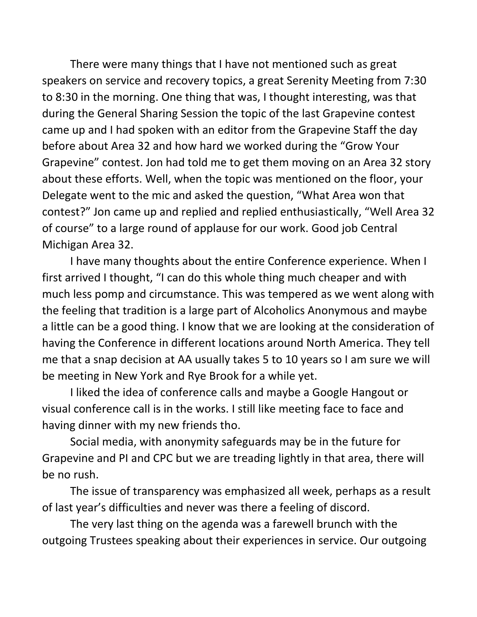There were many things that I have not mentioned such as great speakers on service and recovery topics, a great Serenity Meeting from 7:30 to 8:30 in the morning. One thing that was, I thought interesting, was that during the General Sharing Session the topic of the last Grapevine contest came up and I had spoken with an editor from the Grapevine Staff the day before about Area 32 and how hard we worked during the "Grow Your Grapevine" contest. Jon had told me to get them moving on an Area 32 story about these efforts. Well, when the topic was mentioned on the floor, your Delegate went to the mic and asked the question, "What Area won that contest?" Jon came up and replied and replied enthusiastically, "Well Area 32 of course" to a large round of applause for our work. Good job Central Michigan Area 32.

I have many thoughts about the entire Conference experience. When I first arrived I thought, "I can do this whole thing much cheaper and with much less pomp and circumstance. This was tempered as we went along with the feeling that tradition is a large part of Alcoholics Anonymous and maybe a little can be a good thing. I know that we are looking at the consideration of having the Conference in different locations around North America. They tell me that a snap decision at AA usually takes 5 to 10 years so I am sure we will be meeting in New York and Rye Brook for a while yet.

I liked the idea of conference calls and maybe a Google Hangout or visual conference call is in the works. I still like meeting face to face and having dinner with my new friends tho.

Social media, with anonymity safeguards may be in the future for Grapevine and PI and CPC but we are treading lightly in that area, there will be no rush.

The issue of transparency was emphasized all week, perhaps as a result of last year's difficulties and never was there a feeling of discord.

The very last thing on the agenda was a farewell brunch with the outgoing Trustees speaking about their experiences in service. Our outgoing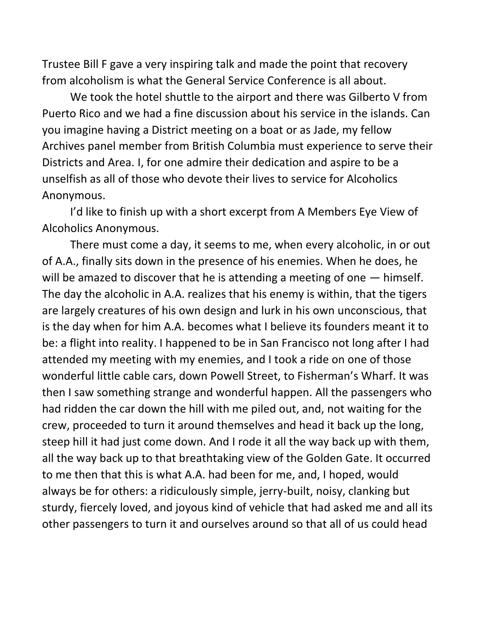Trustee Bill F gave a very inspiring talk and made the point that recovery from alcoholism is what the General Service Conference is all about.

We took the hotel shuttle to the airport and there was Gilberto V from Puerto Rico and we had a fine discussion about his service in the islands. Can you imagine having a District meeting on a boat or as Jade, my fellow Archives panel member from British Columbia must experience to serve their Districts and Area. I, for one admire their dedication and aspire to be a unselfish as all of those who devote their lives to service for Alcoholics Anonymous.

I'd like to finish up with a short excerpt from A Members Eye View of Alcoholics Anonymous.

There must come a day, it seems to me, when every alcoholic, in or out of A.A., finally sits down in the presence of his enemies. When he does, he will be amazed to discover that he is attending a meeting of one — himself. The day the alcoholic in A.A. realizes that his enemy is within, that the tigers are largely creatures of his own design and lurk in his own unconscious, that is the day when for him A.A. becomes what I believe its founders meant it to be: a flight into reality. I happened to be in San Francisco not long after I had attended my meeting with my enemies, and I took a ride on one of those wonderful little cable cars, down Powell Street, to Fisherman's Wharf. It was then I saw something strange and wonderful happen. All the passengers who had ridden the car down the hill with me piled out, and, not waiting for the crew, proceeded to turn it around themselves and head it back up the long, steep hill it had just come down. And I rode it all the way back up with them, all the way back up to that breathtaking view of the Golden Gate. It occurred to me then that this is what A.A. had been for me, and, I hoped, would always be for others: a ridiculously simple, jerry-built, noisy, clanking but sturdy, fiercely loved, and joyous kind of vehicle that had asked me and all its other passengers to turn it and ourselves around so that all of us could head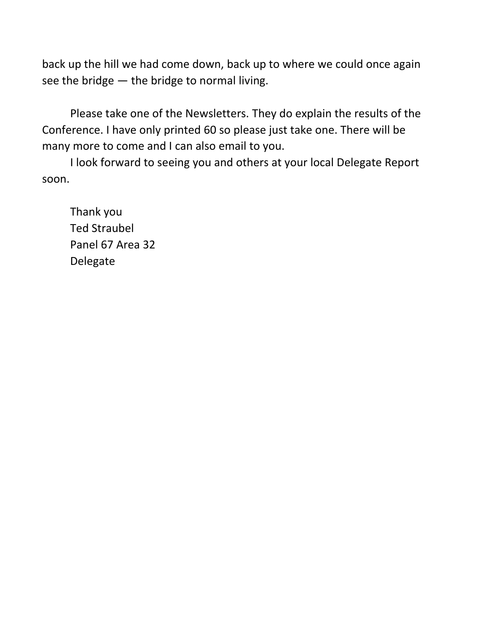back up the hill we had come down, back up to where we could once again see the bridge — the bridge to normal living.

Please take one of the Newsletters. They do explain the results of the Conference. I have only printed 60 so please just take one. There will be many more to come and I can also email to you.

I look forward to seeing you and others at your local Delegate Report soon.

Thank you Ted Straubel Panel 67 Area 32 Delegate